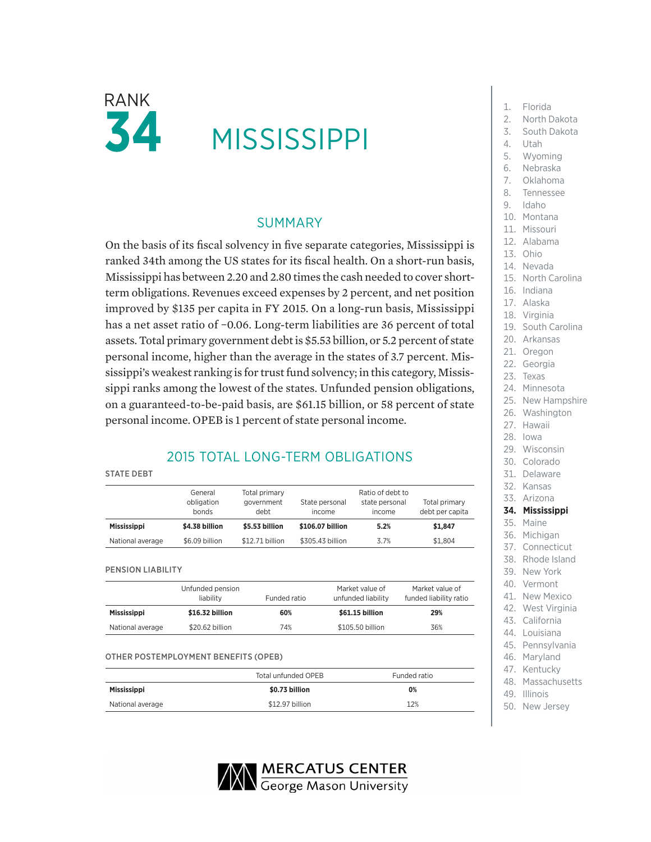

# **MISSISSIPPI**

### SUMMARY

On the basis of its fiscal solvency in five separate categories, Mississippi is ranked 34th among the US states for its fiscal health. On a short-run basis, Mississippi has between 2.20 and 2.80 times the cash needed to cover shortterm obligations. Revenues exceed expenses by 2 percent, and net position improved by \$135 per capita in FY 2015. On a long-run basis, Mississippi has a net asset ratio of −0.06. Long-term liabilities are 36 percent of total assets. Total primary government debt is \$5.53 billion, or 5.2 percent of state personal income, higher than the average in the states of 3.7 percent. Mississippi's weakest ranking is for trust fund solvency; in this category, Mississippi ranks among the lowest of the states. Unfunded pension obligations, on a guaranteed-to-be-paid basis, are \$61.15 billion, or 58 percent of state personal income. OPEB is 1 percent of state personal income.

## 2015 TOTAL LONG-TERM OBLIGATIONS

#### STATE DEBT

|                    | General<br>obligation<br>bonds | Total primary<br>government<br>debt |                  | Ratio of debt to<br>state personal<br>income | Total primary<br>debt per capita |  |
|--------------------|--------------------------------|-------------------------------------|------------------|----------------------------------------------|----------------------------------|--|
| <b>Mississippi</b> | \$4.38 billion                 | \$5.53 billion                      | \$106.07 billion | 5.2%                                         | \$1.847                          |  |
| National average   | \$6.09 billion                 | \$12.71 billion                     | \$305.43 billion | 3.7%                                         | \$1.804                          |  |

PENSION LIABILITY

|                    | Unfunded pension<br>liability | Funded ratio | Market value of<br>unfunded liability | Market value of<br>funded liability ratio |
|--------------------|-------------------------------|--------------|---------------------------------------|-------------------------------------------|
| <b>Mississippi</b> | \$16.32 billion               | 60%          | \$61.15 billion                       | 29%                                       |
| National average   | \$20.62 billion               | 74%          | \$105.50 billion                      | 36%                                       |

#### OTHER POSTEMPLOYMENT BENEFITS (OPEB)

|                    | Total unfunded OPEB | Funded ratio |  |
|--------------------|---------------------|--------------|--|
| <b>Mississippi</b> | \$0.73 billion      | 0%           |  |
| National average   | \$12.97 billion     | 12%          |  |

**WERCATUS CENTER**<br>George Mason University

- 
- 2. North Dakota
- 3. South Dakota
- 4. Utah
- 
- 5. Wyoming
- 6. Nebraska
- 7. Oklahoma
- 8. Tennessee
- 9. Idaho
- 10. Montana
- 11. Missouri
- 12. Alabama
- 13. Ohio
- 14. Nevada
- 15. North Carolina
- 16. Indiana
- 17. Alaska
- 18. Virginia
- 19. South Carolina
- 20. Arkansas
- 21. Oregon
- 22. Georgia
- 23. Texas
- 24. Minnesota
- 25. New Hampshire
- 26. Washington
- 27. Hawaii
- 28. Iowa
- 29. Wisconsin
- 30. Colorado
- 31. Delaware
- 32. Kansas
- 33. Arizona

#### **34. Mississippi**

- 35. Maine
- 36. Michigan
- 37. Connecticut
- 38. Rhode Island
- 39. New York
- 40. Vermont
- 41. New Mexico
- 42. West Virginia
- 43. California
- 44. Louisiana
- 45. Pennsylvania
- 46. Maryland
- 47. Kentucky
- 48. Massachusetts
- 49. Illinois
- 50. New Jersey